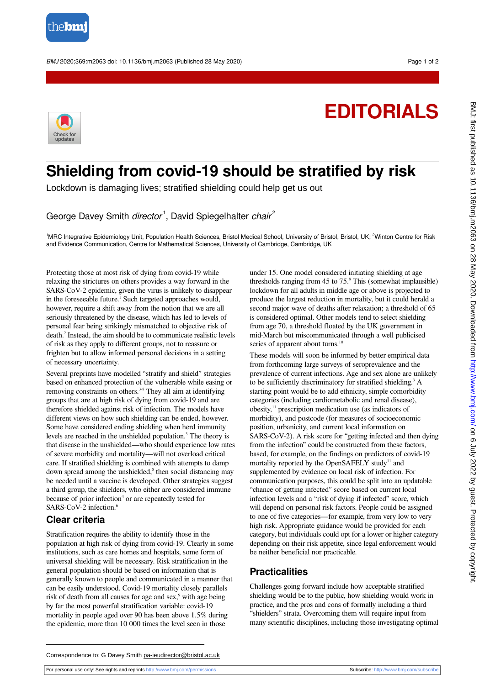

BMJ 2020;369:m2063 doi: 10.1136/bmj.m2063 (Published 28 May 2020) Page 1 of 2

## **EDITORIALS**



## **Shielding from covid-19 should be stratified by risk**

Lockdown is damaging lives; stratified shielding could help get us out

George Davey Smith director<sup>1</sup>, David Spiegelhalter chair<sup>2</sup>

<sup>1</sup>MRC Integrative Epidemiology Unit, Population Health Sciences, Bristol Medical School, University of Bristol, Bristol, UK; <sup>2</sup>Winton Centre for Risk and Evidence Communication, Centre for Mathematical Sciences, University of Cambridge, Cambridge, UK

Protecting those at most risk of dying from covid-19 while relaxing the strictures on others provides a way forward in the SARS-CoV-2 epidemic, given the virus is unlikely to disappear in the foreseeable future.<sup>1</sup> Such targeted approaches would, however, require a shift away from the notion that we are all seriously threatened by the disease, which has led to levels of personal fear being strikingly mismatched to objective risk of death.<sup>2</sup> Instead, the aim should be to communicate realistic levels of risk as they apply to different groups, not to reassure or frighten but to allow informed personal decisions in a setting of necessary uncertainty.

Several preprints have modelled "stratify and shield" strategies based on enhanced protection of the vulnerable while easing or removing constraints on others.<sup>3-8</sup> They all aim at identifying groups that are at high risk of dying from covid-19 and are therefore shielded against risk of infection. The models have different views on how such shielding can be ended, however. Some have considered ending shielding when herd immunity levels are reached in the unshielded population.<sup>3</sup> The theory is that disease in the unshielded—who should experience low rates of severe morbidity and mortality—will not overload critical care. If stratified shielding is combined with attempts to damp down spread among the unshielded,<sup>5</sup> then social distancing may be needed until a vaccine is developed. Other strategies suggest a third group, the shielders, who either are considered immune because of prior infection<sup>4</sup> or are repeatedly tested for SARS-CoV-2 infection.<sup>6</sup>

## **Clear criteria**

Stratification requires the ability to identify those in the population at high risk of dying from covid-19. Clearly in some institutions, such as care homes and hospitals, some form of universal shielding will be necessary. Risk stratification in the general population should be based on information that is generally known to people and communicated in a manner that can be easily understood. Covid-19 mortality closely parallels risk of death from all causes for age and sex,<sup>9</sup> with age being by far the most powerful stratification variable: covid-19 mortality in people aged over 90 has been above 1.5% during the epidemic, more than 10 000 times the level seen in those

under 15. One model considered initiating shielding at age thresholds ranging from 45 to 75.<sup>8</sup> This (somewhat implausible) lockdown for all adults in middle age or above is projected to produce the largest reduction in mortality, but it could herald a second major wave of deaths after relaxation; a threshold of 65 is considered optimal. Other models tend to select shielding from age 70, a threshold floated by the UK government in mid-March but miscommunicated through a well publicised series of apparent about turns.<sup>10</sup>

These models will soon be informed by better empirical data from forthcoming large surveys of seroprevalence and the prevalence of current infections. Age and sex alone are unlikely to be sufficiently discriminatory for stratified shielding.<sup>3</sup> A starting point would be to add ethnicity, simple comorbidity categories (including cardiometabolic and renal disease), obesity, $\frac{11}{11}$  prescription medication use (as indicators of morbidity), and postcode (for measures of socioeconomic position, urbanicity, and current local information on SARS-CoV-2). A risk score for "getting infected and then dying from the infection" could be constructed from these factors, based, for example, on the findings on predictors of covid-19 mortality reported by the OpenSAFELY study<sup>11</sup> and supplemented by evidence on local risk of infection. For communication purposes, this could be split into an updatable "chance of getting infected" score based on current local infection levels and a "risk of dying if infected" score, which will depend on personal risk factors. People could be assigned to one of five categories—for example, from very low to very high risk. Appropriate guidance would be provided for each category, but individuals could opt for a lower or higher category depending on their risk appetite, since legal enforcement would be neither beneficial nor practicable.

## **Practicalities**

Challenges going forward include how acceptable stratified shielding would be to the public, how shielding would work in practice, and the pros and cons of formally including a third "shielders" strata. Overcoming them will require input from many scientific disciplines, including those investigating optimal

For personal use only: See rights and reprints<http://www.bmj.com/permissions> Subscribe: <http://www.bmj.com/subscribe>